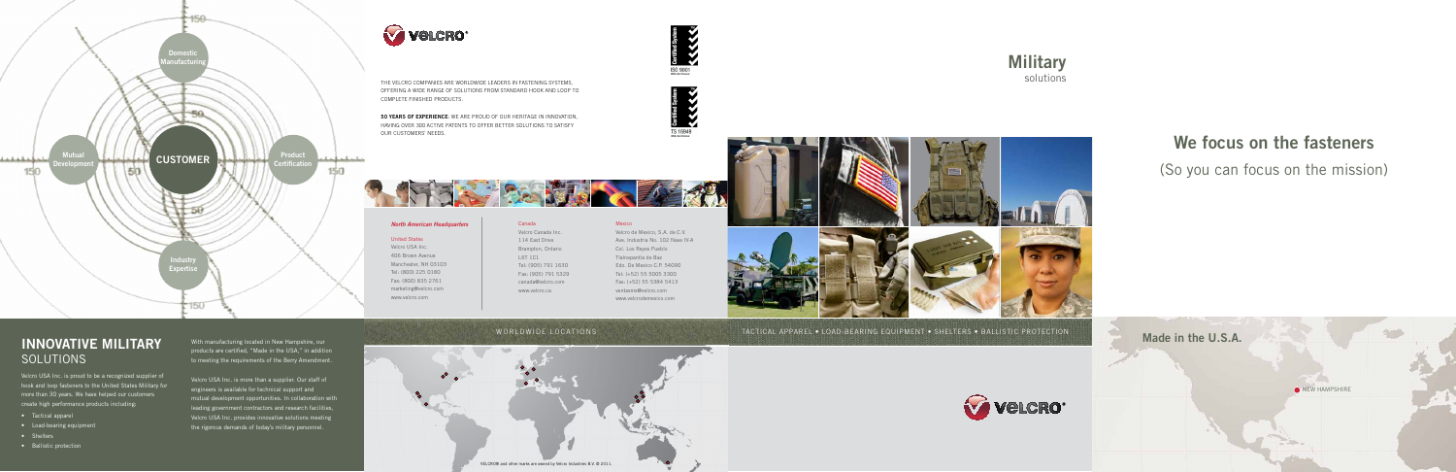**Military** solutions



## TACTICAL APPAREL • LOAD-BEARING EQUIPMENT • SHELTERS • BALLISTIC PROTECTION



the velcro companies are worldwide leaders in fastening systems, offering a wide range of solutions from standard hook and loop to complete finished products.

50 YEARS OF EXPERIENCE: WE ARE PROUD OF OUR HERITAGE IN INNOVATION, having over 300 active patents to offer better solutions to satisfy our customers' needs.

## *North American Headquarters*

United States Velcro USA Inc. 406 Brown Avenue Manchester, NH 03103 Tel: (800) 225 0180 Fax: (800) 835 2761 marketing@velcro.com www.velcro.com

# Canada L6T 1C1



## Mexico

Velcro de Mexico, S.A. de C.V. Ave. Industria No. 102 Nave IV-A Col. Los Reyes Pueblo Tlalnepantla de Baz Edo. De Mexico C.P. 54090 Tel: (+52) 55 5005 3300 Fax: (+52) 55 5384 5413 ventasmx@velcro.com www.velcrodemexico.com

# We focus on the fasteners (So you can focus on the mission)







## INNOVATIVE MILITARY SOLUTIONS

Velcro USA Inc. is proud to be a recognized supplier of hook and loop fasteners to the United States Military for more than 30 years. We have helped our customers create high performance products including:

- Tactical apparel
- Load-bearing equipment
- Shelters
- Ballistic protection

With manufacturing located in New Hampshire, our products are certified, "Made in the USA," in addition to meeting the requirements of the Berry Amendment.

Velcro USA Inc. is more than a supplier. Our staff of engineers is available for technical support and mutual development opportunities. In collaboration with leading government contractors and research facilities, Velcro USA Inc. provides innovative solutions meeting the rigorous demands of today's military personnel.

## WORLDWIDE LOCATIONS



# Velcro<sup>®</sup>